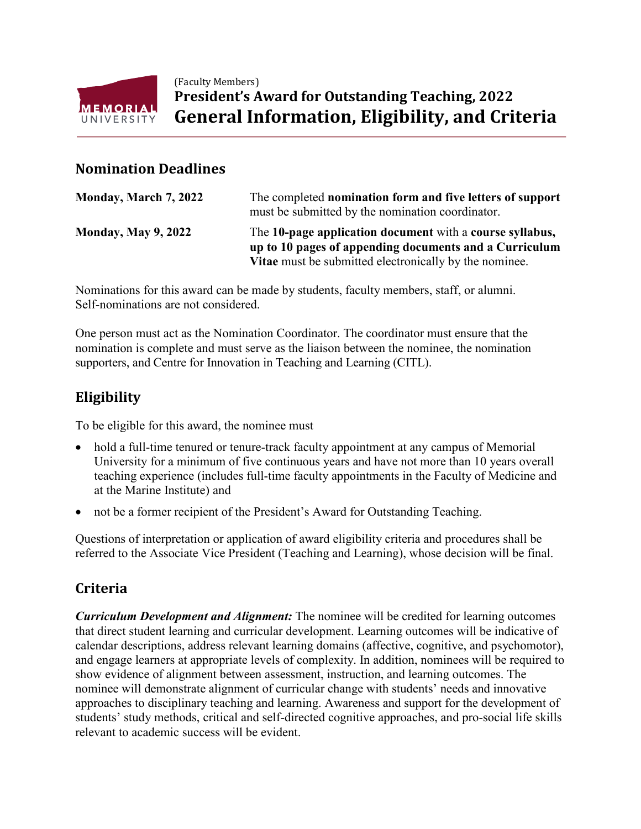

(Faculty Members) **President's Award for Outstanding Teaching, 2022 General Information, Eligibility, and Criteria**

#### **Nomination Deadlines**

| Monday, March 7, 2022      | The completed nomination form and five letters of support<br>must be submitted by the nomination coordinator.                                                                |
|----------------------------|------------------------------------------------------------------------------------------------------------------------------------------------------------------------------|
| <b>Monday, May 9, 2022</b> | The 10-page application document with a course syllabus,<br>up to 10 pages of appending documents and a Curriculum<br>Vitae must be submitted electronically by the nominee. |

Nominations for this award can be made by students, faculty members, staff, or alumni. Self-nominations are not considered.

One person must act as the Nomination Coordinator. The coordinator must ensure that the nomination is complete and must serve as the liaison between the nominee, the nomination supporters, and Centre for Innovation in Teaching and Learning (CITL).

### **Eligibility**

To be eligible for this award, the nominee must

- hold a full-time tenured or tenure-track faculty appointment at any campus of Memorial University for a minimum of five continuous years and have not more than 10 years overall teaching experience (includes full-time faculty appointments in the Faculty of Medicine and at the Marine Institute) and
- not be a former recipient of the President's Award for Outstanding Teaching.

Questions of interpretation or application of award eligibility criteria and procedures shall be referred to the Associate Vice President (Teaching and Learning), whose decision will be final.

### **Criteria**

*Curriculum Development and Alignment:* The nominee will be credited for learning outcomes that direct student learning and curricular development. Learning outcomes will be indicative of calendar descriptions, address relevant learning domains (affective, cognitive, and psychomotor), and engage learners at appropriate levels of complexity. In addition, nominees will be required to show evidence of alignment between assessment, instruction, and learning outcomes. The nominee will demonstrate alignment of curricular change with students' needs and innovative approaches to disciplinary teaching and learning. Awareness and support for the development of students' study methods, critical and self-directed cognitive approaches, and pro-social life skills relevant to academic success will be evident.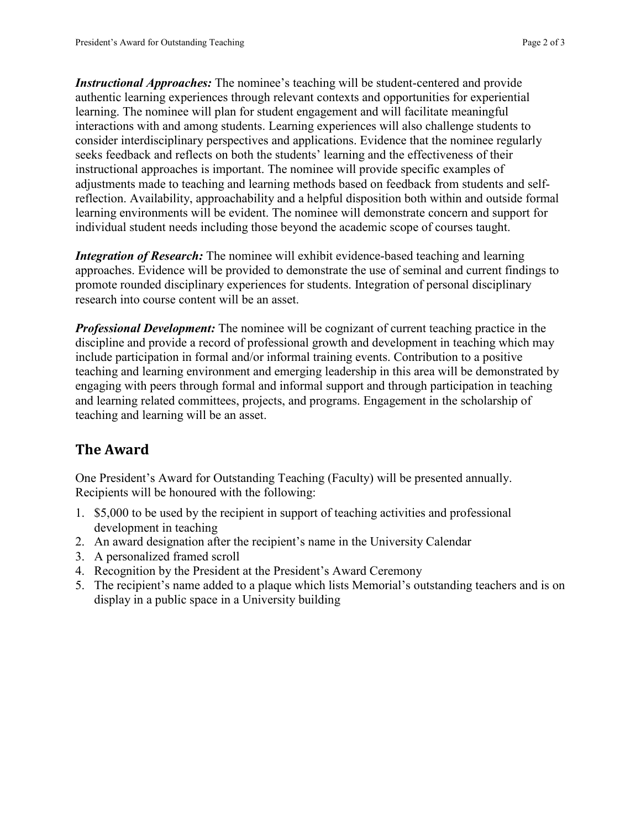*Instructional Approaches:* The nominee's teaching will be student-centered and provide authentic learning experiences through relevant contexts and opportunities for experiential learning. The nominee will plan for student engagement and will facilitate meaningful interactions with and among students. Learning experiences will also challenge students to consider interdisciplinary perspectives and applications. Evidence that the nominee regularly seeks feedback and reflects on both the students' learning and the effectiveness of their instructional approaches is important. The nominee will provide specific examples of adjustments made to teaching and learning methods based on feedback from students and selfreflection. Availability, approachability and a helpful disposition both within and outside formal learning environments will be evident. The nominee will demonstrate concern and support for individual student needs including those beyond the academic scope of courses taught.

*Integration of Research:* The nominee will exhibit evidence-based teaching and learning approaches. Evidence will be provided to demonstrate the use of seminal and current findings to promote rounded disciplinary experiences for students. Integration of personal disciplinary research into course content will be an asset.

*Professional Development:* The nominee will be cognizant of current teaching practice in the discipline and provide a record of professional growth and development in teaching which may include participation in formal and/or informal training events. Contribution to a positive teaching and learning environment and emerging leadership in this area will be demonstrated by engaging with peers through formal and informal support and through participation in teaching and learning related committees, projects, and programs. Engagement in the scholarship of teaching and learning will be an asset.

# **The Award**

One President's Award for Outstanding Teaching (Faculty) will be presented annually. Recipients will be honoured with the following:

- 1. \$5,000 to be used by the recipient in support of teaching activities and professional development in teaching
- 2. An award designation after the recipient's name in the University Calendar
- 3. A personalized framed scroll
- 4. Recognition by the President at the President's Award Ceremony
- 5. The recipient's name added to a plaque which lists Memorial's outstanding teachers and is on display in a public space in a University building